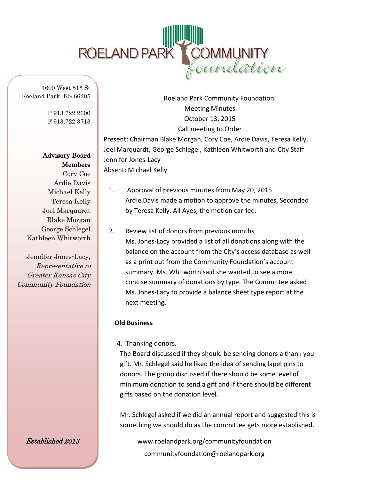

4600 West 51st St Roeland Park, KS 66205

> P 913.722.2600 F 913.722.3713

Advisory Board Members Cory Coe Ardie Davis Michael Kelly Teresa Kelly Joel Marquardt Blake Morgan George Schlegel Kathleen Whitworth

Jennifer Jones-Lacy, Representative to Greater Kansas City Community Foundation

Established 2013

Roeland Park Community Foundation Meeting Minutes October 13, 2015 Call meeting to Order Present: Chairman Blake Morgan, Cory Coe, Ardie Davis, Teresa Kelly, Joel Marquardt, George Schlegel, Kathleen Whitworth and City Staff Jennifer Jones-Lacy Absent: Michael Kelly

- 1. Approval of previous minutes from May 20, 2015 Ardie Davis made a motion to approve the minutes, Seconded by Teresa Kelly. All Ayes, the motion carried.
- 2. Review list of donors from previous months Ms. Jones-Lacy provided a list of all donations along with the balance on the account from the City's access database as well as a print out from the Community Foundation's account summary. Ms. Whitworth said she wanted to see a more concise summary of donations by type. The Committee asked Ms. Jones-Lacy to provide a balance sheet type report at the next meeting.

## **Old Business**

4. Thanking donors.

The Board discussed if they should be sending donors a thank you gift. Mr. Schlegel said he liked the idea of sending lapel pins to donors. The group discussed if there should be some level of minimum donation to send a gift and if there should be different gifts based on the donation level.

Mr. Schlegel asked if we did an annual report and suggested this is something we should do as the committee gets more established.

www.roelandpark.org/communityfoundation communityfoundation@roelandpark.org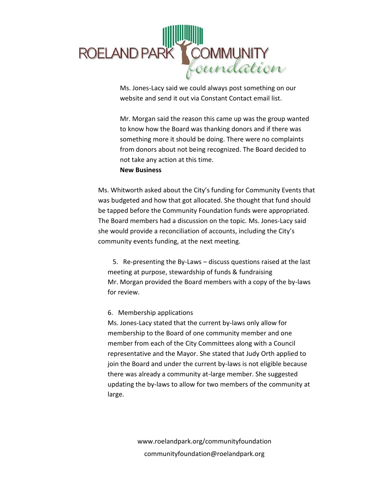

website and send it out via Constant Contact email list.

Mr. Morgan said the reason this came up was the group wanted to know how the Board was thanking donors and if there was something more it should be doing. There were no complaints from donors about not being recognized. The Board decided to not take any action at this time.

## **New Business**

Ms. Whitworth asked about the City's funding for Community Events that was budgeted and how that got allocated. She thought that fund should be tapped before the Community Foundation funds were appropriated. The Board members had a discussion on the topic. Ms. Jones-Lacy said she would provide a reconciliation of accounts, including the City's community events funding, at the next meeting.

 5. Re-presenting the By-Laws – discuss questions raised at the last meeting at purpose, stewardship of funds & fundraising Mr. Morgan provided the Board members with a copy of the by-laws for review.

## 6. Membership applications

Ms. Jones-Lacy stated that the current by-laws only allow for membership to the Board of one community member and one member from each of the City Committees along with a Council representative and the Mayor. She stated that Judy Orth applied to join the Board and under the current by-laws is not eligible because there was already a community at-large member. She suggested updating the by-laws to allow for two members of the community at large.

> www.roelandpark.org/communityfoundation communityfoundation@roelandpark.org